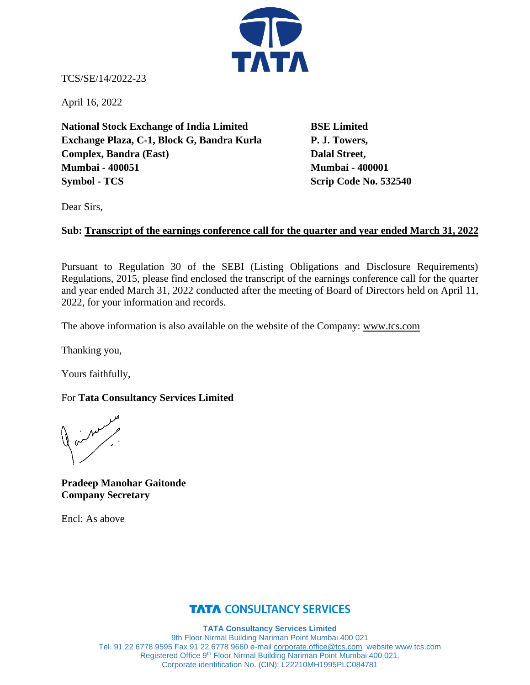

TCS/SE/14/2022-23

April 16, 2022

**National Stock Exchange of India Limited BSE Limited Exchange Plaza, C-1, Block G, Bandra Kurla P. J. Towers, Complex, Bandra (East)** Dalal Street, **Mumbai - 400051 Mumbai - 400001 Symbol - TCS** Scrip Code No. 532540

Dear Sirs,

## **Sub: Transcript of the earnings conference call for the quarter and year ended March 31, 2022**

Pursuant to Regulation 30 of the SEBI (Listing Obligations and Disclosure Requirements) Regulations, 2015, please find enclosed the transcript of the earnings conference call for the quarter and year ended March 31, 2022 conducted after the meeting of Board of Directors held on April 11, 2022, for your information and records.

The above information is also available on the website of the Company: [www.tcs.com](http://www.tcs.com/)

Thanking you,

Yours faithfully,

For **Tata Consultancy Services Limited**

**Pradeep Manohar Gaitonde Company Secretary**

Encl: As above

## **TATA CONSULTANCY SERVICES**

**TATA Consultancy Services Limited** 9th Floor Nirmal Building Nariman Point Mumbai 400 021 Tel. 91 22 6778 9595 Fax 91 22 6778 9660 e-mail [corporate.office@tcs.com](mailto:corporate.office@tcs.com) website www.tcs.com Registered Office 9<sup>th</sup> Floor Nirmal Building Nariman Point Mumbai 400 021. Corporate identification No. (CIN): L22210MH1995PLC084781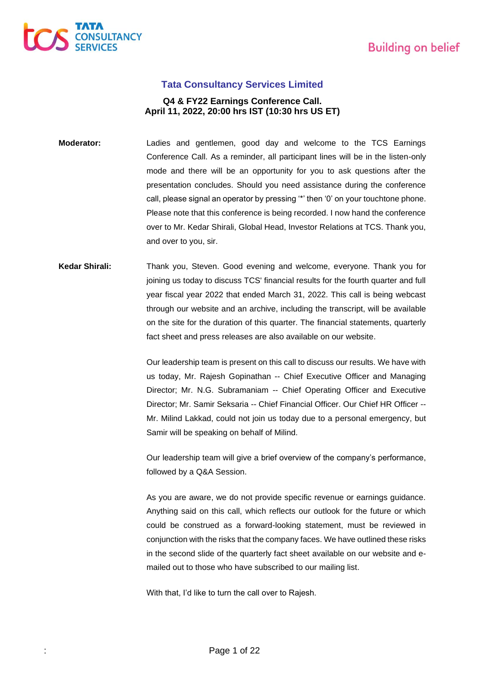

## **Tata Consultancy Services Limited**

## **Q4 & FY22 Earnings Conference Call. April 11, 2022, 20:00 hrs IST (10:30 hrs US ET)**

- **Moderator:** Ladies and gentlemen, good day and welcome to the TCS Earnings Conference Call. As a reminder, all participant lines will be in the listen-only mode and there will be an opportunity for you to ask questions after the presentation concludes. Should you need assistance during the conference call, please signal an operator by pressing '\*' then '0' on your touchtone phone. Please note that this conference is being recorded. I now hand the conference over to Mr. Kedar Shirali, Global Head, Investor Relations at TCS. Thank you, and over to you, sir.
- **Kedar Shirali:** Thank you, Steven. Good evening and welcome, everyone. Thank you for joining us today to discuss TCS' financial results for the fourth quarter and full year fiscal year 2022 that ended March 31, 2022. This call is being webcast through our website and an archive, including the transcript, will be available on the site for the duration of this quarter. The financial statements, quarterly fact sheet and press releases are also available on our website.

Our leadership team is present on this call to discuss our results. We have with us today, Mr. Rajesh Gopinathan -- Chief Executive Officer and Managing Director; Mr. N.G. Subramaniam -- Chief Operating Officer and Executive Director; Mr. Samir Seksaria -- Chief Financial Officer. Our Chief HR Officer -- Mr. Milind Lakkad, could not join us today due to a personal emergency, but Samir will be speaking on behalf of Milind.

Our leadership team will give a brief overview of the company's performance, followed by a Q&A Session.

As you are aware, we do not provide specific revenue or earnings guidance. Anything said on this call, which reflects our outlook for the future or which could be construed as a forward-looking statement, must be reviewed in conjunction with the risks that the company faces. We have outlined these risks in the second slide of the quarterly fact sheet available on our website and emailed out to those who have subscribed to our mailing list.

With that, I'd like to turn the call over to Rajesh.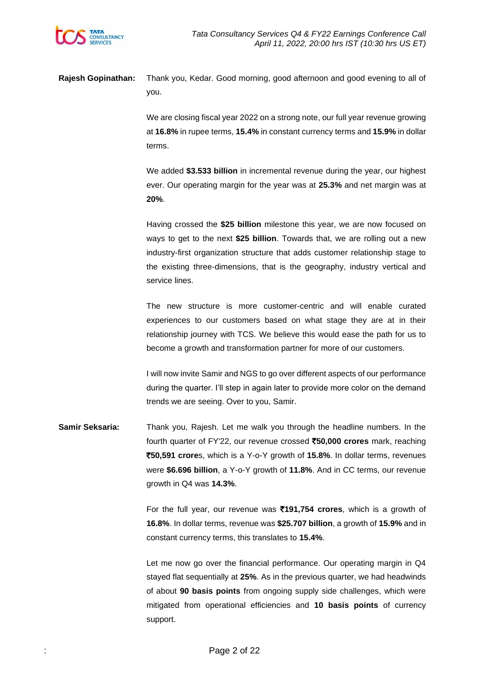

**Rajesh Gopinathan:** Thank you, Kedar. Good morning, good afternoon and good evening to all of you.

> We are closing fiscal year 2022 on a strong note, our full year revenue growing at **16.8%** in rupee terms, **15.4%** in constant currency terms and **15.9%** in dollar terms.

> We added **\$3.533 billion** in incremental revenue during the year, our highest ever. Our operating margin for the year was at **25.3%** and net margin was at **20%**.

> Having crossed the **\$25 billion** milestone this year, we are now focused on ways to get to the next **\$25 billion**. Towards that, we are rolling out a new industry-first organization structure that adds customer relationship stage to the existing three-dimensions, that is the geography, industry vertical and service lines.

> The new structure is more customer-centric and will enable curated experiences to our customers based on what stage they are at in their relationship journey with TCS. We believe this would ease the path for us to become a growth and transformation partner for more of our customers.

> I will now invite Samir and NGS to go over different aspects of our performance during the quarter. I'll step in again later to provide more color on the demand trends we are seeing. Over to you, Samir.

**Samir Seksaria:** Thank you, Rajesh. Let me walk you through the headline numbers. In the fourth quarter of FY'22, our revenue crossed `**50,000 crores** mark, reaching `**50,591 crore**s, which is a Y-o-Y growth of **15.8%**. In dollar terms, revenues were **\$6.696 billion**, a Y-o-Y growth of **11.8%**. And in CC terms, our revenue growth in Q4 was **14.3%**.

> For the full year, our revenue was `**191,754 crores**, which is a growth of **16.8%**. In dollar terms, revenue was **\$25.707 billion**, a growth of **15.9%** and in constant currency terms, this translates to **15.4%**.

> Let me now go over the financial performance. Our operating margin in Q4 stayed flat sequentially at **25%**. As in the previous quarter, we had headwinds of about **90 basis points** from ongoing supply side challenges, which were mitigated from operational efficiencies and **10 basis points** of currency support.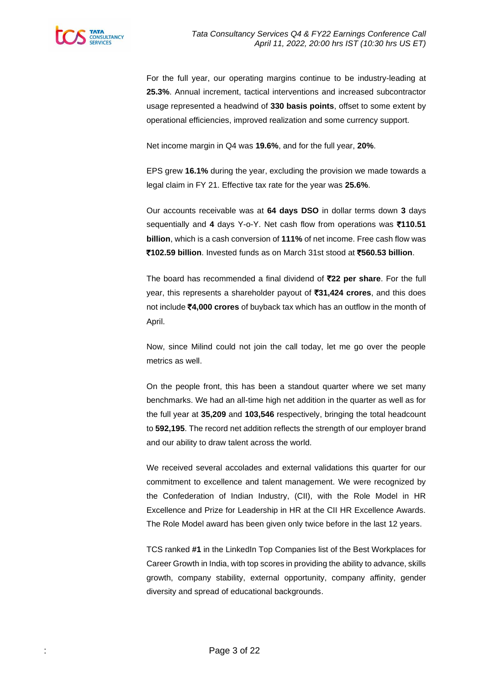

For the full year, our operating margins continue to be industry-leading at **25.3%**. Annual increment, tactical interventions and increased subcontractor usage represented a headwind of **330 basis points**, offset to some extent by operational efficiencies, improved realization and some currency support.

Net income margin in Q4 was **19.6%**, and for the full year, **20%**.

EPS grew **16.1%** during the year, excluding the provision we made towards a legal claim in FY 21. Effective tax rate for the year was **25.6%**.

Our accounts receivable was at **64 days DSO** in dollar terms down **3** days sequentially and 4 days Y-o-Y. Net cash flow from operations was ₹110.51 **billion**, which is a cash conversion of **111%** of net income. Free cash flow was `**102.59 billion**. Invested funds as on March 31st stood at `**560.53 billion**.

The board has recommended a final dividend of `**22 per share**. For the full year, this represents a shareholder payout of `**31,424 crores**, and this does not include `**4,000 crores** of buyback tax which has an outflow in the month of April.

Now, since Milind could not join the call today, let me go over the people metrics as well.

On the people front, this has been a standout quarter where we set many benchmarks. We had an all-time high net addition in the quarter as well as for the full year at **35,209** and **103,546** respectively, bringing the total headcount to **592,195**. The record net addition reflects the strength of our employer brand and our ability to draw talent across the world.

We received several accolades and external validations this quarter for our commitment to excellence and talent management. We were recognized by the Confederation of Indian Industry, (CII), with the Role Model in HR Excellence and Prize for Leadership in HR at the CII HR Excellence Awards. The Role Model award has been given only twice before in the last 12 years.

TCS ranked **#1** in the LinkedIn Top Companies list of the Best Workplaces for Career Growth in India, with top scores in providing the ability to advance, skills growth, company stability, external opportunity, company affinity, gender diversity and spread of educational backgrounds.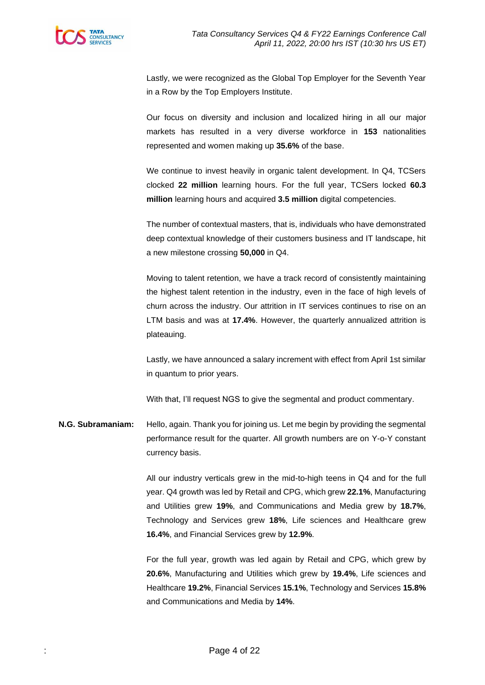

Lastly, we were recognized as the Global Top Employer for the Seventh Year in a Row by the Top Employers Institute.

Our focus on diversity and inclusion and localized hiring in all our major markets has resulted in a very diverse workforce in **153** nationalities represented and women making up **35.6%** of the base.

We continue to invest heavily in organic talent development. In Q4, TCSers clocked **22 million** learning hours. For the full year, TCSers locked **60.3 million** learning hours and acquired **3.5 million** digital competencies.

The number of contextual masters, that is, individuals who have demonstrated deep contextual knowledge of their customers business and IT landscape, hit a new milestone crossing **50,000** in Q4.

Moving to talent retention, we have a track record of consistently maintaining the highest talent retention in the industry, even in the face of high levels of churn across the industry. Our attrition in IT services continues to rise on an LTM basis and was at **17.4%**. However, the quarterly annualized attrition is plateauing.

Lastly, we have announced a salary increment with effect from April 1st similar in quantum to prior years.

With that, I'll request NGS to give the segmental and product commentary.

**N.G. Subramaniam:** Hello, again. Thank you for joining us. Let me begin by providing the segmental performance result for the quarter. All growth numbers are on Y-o-Y constant currency basis.

> All our industry verticals grew in the mid-to-high teens in Q4 and for the full year. Q4 growth was led by Retail and CPG, which grew **22.1%**, Manufacturing and Utilities grew **19%**, and Communications and Media grew by **18.7%**, Technology and Services grew **18%**, Life sciences and Healthcare grew **16.4%**, and Financial Services grew by **12.9%**.

> For the full year, growth was led again by Retail and CPG, which grew by **20.6%**, Manufacturing and Utilities which grew by **19.4%**, Life sciences and Healthcare **19.2%**, Financial Services **15.1%**, Technology and Services **15.8%** and Communications and Media by **14%**.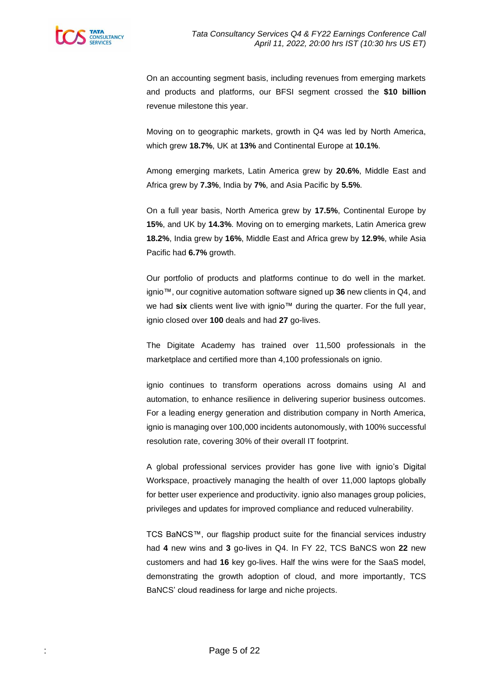

On an accounting segment basis, including revenues from emerging markets and products and platforms, our BFSI segment crossed the **\$10 billion** revenue milestone this year.

Moving on to geographic markets, growth in Q4 was led by North America, which grew **18.7%**, UK at **13%** and Continental Europe at **10.1%**.

Among emerging markets, Latin America grew by **20.6%**, Middle East and Africa grew by **7.3%**, India by **7%**, and Asia Pacific by **5.5%**.

On a full year basis, North America grew by **17.5%**, Continental Europe by **15%**, and UK by **14.3%**. Moving on to emerging markets, Latin America grew **18.2%**, India grew by **16%**, Middle East and Africa grew by **12.9%**, while Asia Pacific had **6.7%** growth.

Our portfolio of products and platforms continue to do well in the market. ignio™, our cognitive automation software signed up **36** new clients in Q4, and we had six clients went live with ignio<sup>™</sup> during the quarter. For the full year, ignio closed over **100** deals and had **27** go-lives.

The Digitate Academy has trained over 11,500 professionals in the marketplace and certified more than 4,100 professionals on ignio.

ignio continues to transform operations across domains using AI and automation, to enhance resilience in delivering superior business outcomes. For a leading energy generation and distribution company in North America, ignio is managing over 100,000 incidents autonomously, with 100% successful resolution rate, covering 30% of their overall IT footprint.

A global professional services provider has gone live with ignio's Digital Workspace, proactively managing the health of over 11,000 laptops globally for better user experience and productivity. ignio also manages group policies, privileges and updates for improved compliance and reduced vulnerability.

TCS BaNCS™, our flagship product suite for the financial services industry had **4** new wins and **3** go-lives in Q4. In FY 22, TCS BaNCS won **22** new customers and had **16** key go-lives. Half the wins were for the SaaS model, demonstrating the growth adoption of cloud, and more importantly, TCS BaNCS' cloud readiness for large and niche projects.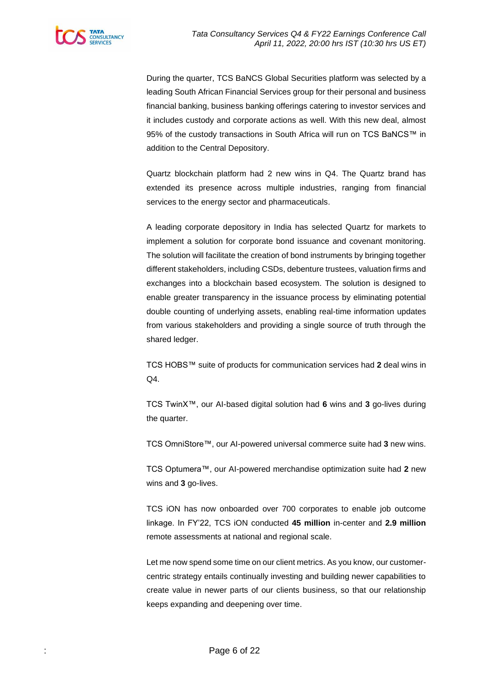

During the quarter, TCS BaNCS Global Securities platform was selected by a leading South African Financial Services group for their personal and business financial banking, business banking offerings catering to investor services and it includes custody and corporate actions as well. With this new deal, almost 95% of the custody transactions in South Africa will run on TCS BaNCS™ in addition to the Central Depository.

Quartz blockchain platform had 2 new wins in Q4. The Quartz brand has extended its presence across multiple industries, ranging from financial services to the energy sector and pharmaceuticals.

A leading corporate depository in India has selected Quartz for markets to implement a solution for corporate bond issuance and covenant monitoring. The solution will facilitate the creation of bond instruments by bringing together different stakeholders, including CSDs, debenture trustees, valuation firms and exchanges into a blockchain based ecosystem. The solution is designed to enable greater transparency in the issuance process by eliminating potential double counting of underlying assets, enabling real-time information updates from various stakeholders and providing a single source of truth through the shared ledger.

TCS HOBS™ suite of products for communication services had **2** deal wins in Q4.

TCS TwinX™, our AI-based digital solution had **6** wins and **3** go-lives during the quarter.

TCS OmniStore™, our AI-powered universal commerce suite had **3** new wins.

TCS Optumera™, our AI-powered merchandise optimization suite had **2** new wins and **3** go-lives.

TCS iON has now onboarded over 700 corporates to enable job outcome linkage. In FY'22, TCS iON conducted **45 million** in-center and **2.9 million** remote assessments at national and regional scale.

Let me now spend some time on our client metrics. As you know, our customercentric strategy entails continually investing and building newer capabilities to create value in newer parts of our clients business, so that our relationship keeps expanding and deepening over time.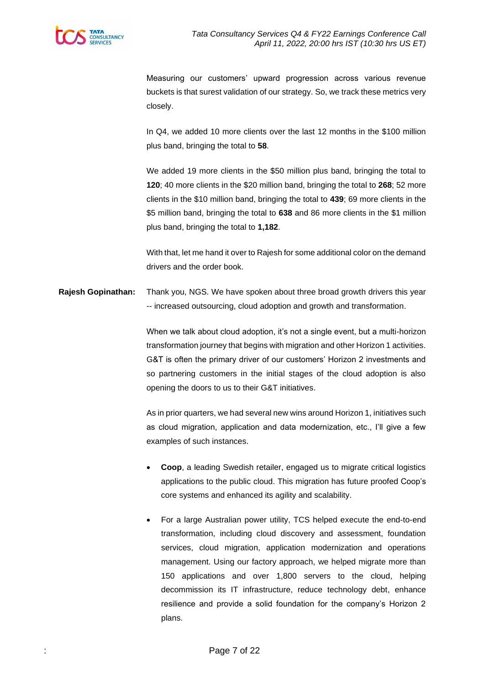

Measuring our customers' upward progression across various revenue buckets is that surest validation of our strategy. So, we track these metrics very closely.

In Q4, we added 10 more clients over the last 12 months in the \$100 million plus band, bringing the total to **58**.

We added 19 more clients in the \$50 million plus band, bringing the total to **120**; 40 more clients in the \$20 million band, bringing the total to **268**; 52 more clients in the \$10 million band, bringing the total to **439**; 69 more clients in the \$5 million band, bringing the total to **638** and 86 more clients in the \$1 million plus band, bringing the total to **1,182**.

With that, let me hand it over to Rajesh for some additional color on the demand drivers and the order book.

**Rajesh Gopinathan:** Thank you, NGS. We have spoken about three broad growth drivers this year -- increased outsourcing, cloud adoption and growth and transformation.

> When we talk about cloud adoption, it's not a single event, but a multi-horizon transformation journey that begins with migration and other Horizon 1 activities. G&T is often the primary driver of our customers' Horizon 2 investments and so partnering customers in the initial stages of the cloud adoption is also opening the doors to us to their G&T initiatives.

> As in prior quarters, we had several new wins around Horizon 1, initiatives such as cloud migration, application and data modernization, etc., I'll give a few examples of such instances.

- **Coop**, a leading Swedish retailer, engaged us to migrate critical logistics applications to the public cloud. This migration has future proofed Coop's core systems and enhanced its agility and scalability.
- For a large Australian power utility, TCS helped execute the end-to-end transformation, including cloud discovery and assessment, foundation services, cloud migration, application modernization and operations management. Using our factory approach, we helped migrate more than 150 applications and over 1,800 servers to the cloud, helping decommission its IT infrastructure, reduce technology debt, enhance resilience and provide a solid foundation for the company's Horizon 2 plans.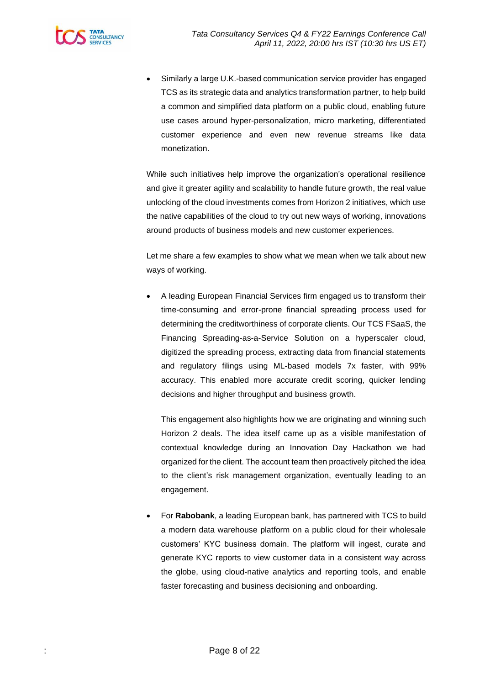

• Similarly a large U.K.-based communication service provider has engaged TCS as its strategic data and analytics transformation partner, to help build a common and simplified data platform on a public cloud, enabling future use cases around hyper-personalization, micro marketing, differentiated customer experience and even new revenue streams like data monetization.

While such initiatives help improve the organization's operational resilience and give it greater agility and scalability to handle future growth, the real value unlocking of the cloud investments comes from Horizon 2 initiatives, which use the native capabilities of the cloud to try out new ways of working, innovations around products of business models and new customer experiences.

Let me share a few examples to show what we mean when we talk about new ways of working.

• A leading European Financial Services firm engaged us to transform their time-consuming and error-prone financial spreading process used for determining the creditworthiness of corporate clients. Our TCS FSaaS, the Financing Spreading-as-a-Service Solution on a hyperscaler cloud, digitized the spreading process, extracting data from financial statements and regulatory filings using ML-based models 7x faster, with 99% accuracy. This enabled more accurate credit scoring, quicker lending decisions and higher throughput and business growth.

This engagement also highlights how we are originating and winning such Horizon 2 deals. The idea itself came up as a visible manifestation of contextual knowledge during an Innovation Day Hackathon we had organized for the client. The account team then proactively pitched the idea to the client's risk management organization, eventually leading to an engagement.

• For **Rabobank**, a leading European bank, has partnered with TCS to build a modern data warehouse platform on a public cloud for their wholesale customers' KYC business domain. The platform will ingest, curate and generate KYC reports to view customer data in a consistent way across the globe, using cloud-native analytics and reporting tools, and enable faster forecasting and business decisioning and onboarding.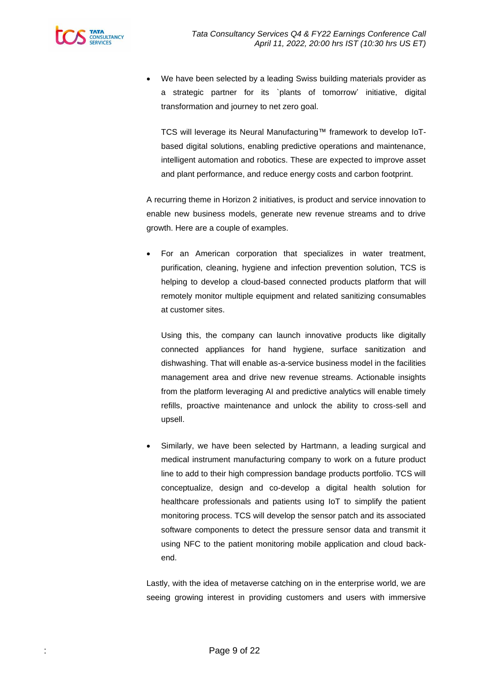We have been selected by a leading Swiss building materials provider as a strategic partner for its `plants of tomorrow' initiative, digital transformation and journey to net zero goal.

TCS will leverage its Neural Manufacturing™ framework to develop IoTbased digital solutions, enabling predictive operations and maintenance, intelligent automation and robotics. These are expected to improve asset and plant performance, and reduce energy costs and carbon footprint.

A recurring theme in Horizon 2 initiatives, is product and service innovation to enable new business models, generate new revenue streams and to drive growth. Here are a couple of examples.

• For an American corporation that specializes in water treatment, purification, cleaning, hygiene and infection prevention solution, TCS is helping to develop a cloud-based connected products platform that will remotely monitor multiple equipment and related sanitizing consumables at customer sites.

Using this, the company can launch innovative products like digitally connected appliances for hand hygiene, surface sanitization and dishwashing. That will enable as-a-service business model in the facilities management area and drive new revenue streams. Actionable insights from the platform leveraging AI and predictive analytics will enable timely refills, proactive maintenance and unlock the ability to cross-sell and upsell.

Similarly, we have been selected by Hartmann, a leading surgical and medical instrument manufacturing company to work on a future product line to add to their high compression bandage products portfolio. TCS will conceptualize, design and co-develop a digital health solution for healthcare professionals and patients using IoT to simplify the patient monitoring process. TCS will develop the sensor patch and its associated software components to detect the pressure sensor data and transmit it using NFC to the patient monitoring mobile application and cloud backend.

Lastly, with the idea of metaverse catching on in the enterprise world, we are seeing growing interest in providing customers and users with immersive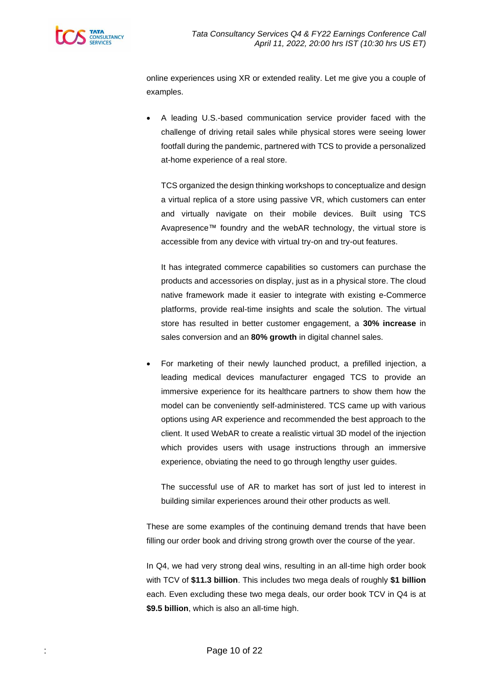

online experiences using XR or extended reality. Let me give you a couple of examples.

• A leading U.S.-based communication service provider faced with the challenge of driving retail sales while physical stores were seeing lower footfall during the pandemic, partnered with TCS to provide a personalized at-home experience of a real store.

TCS organized the design thinking workshops to conceptualize and design a virtual replica of a store using passive VR, which customers can enter and virtually navigate on their mobile devices. Built using TCS Avapresence™ foundry and the webAR technology, the virtual store is accessible from any device with virtual try-on and try-out features.

It has integrated commerce capabilities so customers can purchase the products and accessories on display, just as in a physical store. The cloud native framework made it easier to integrate with existing e-Commerce platforms, provide real-time insights and scale the solution. The virtual store has resulted in better customer engagement, a **30% increase** in sales conversion and an **80% growth** in digital channel sales.

• For marketing of their newly launched product, a prefilled injection, a leading medical devices manufacturer engaged TCS to provide an immersive experience for its healthcare partners to show them how the model can be conveniently self-administered. TCS came up with various options using AR experience and recommended the best approach to the client. It used WebAR to create a realistic virtual 3D model of the injection which provides users with usage instructions through an immersive experience, obviating the need to go through lengthy user guides.

The successful use of AR to market has sort of just led to interest in building similar experiences around their other products as well.

These are some examples of the continuing demand trends that have been filling our order book and driving strong growth over the course of the year.

In Q4, we had very strong deal wins, resulting in an all-time high order book with TCV of **\$11.3 billion**. This includes two mega deals of roughly **\$1 billion**  each. Even excluding these two mega deals, our order book TCV in Q4 is at **\$9.5 billion**, which is also an all-time high.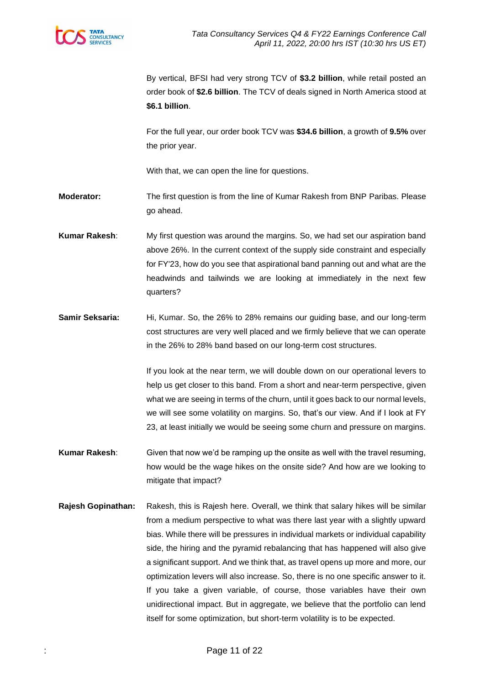

By vertical, BFSI had very strong TCV of **\$3.2 billion**, while retail posted an order book of **\$2.6 billion**. The TCV of deals signed in North America stood at **\$6.1 billion**.

For the full year, our order book TCV was **\$34.6 billion**, a growth of **9.5%** over the prior year.

With that, we can open the line for questions.

**Moderator:** The first question is from the line of Kumar Rakesh from BNP Paribas. Please go ahead.

- **Kumar Rakesh**: My first question was around the margins. So, we had set our aspiration band above 26%. In the current context of the supply side constraint and especially for FY'23, how do you see that aspirational band panning out and what are the headwinds and tailwinds we are looking at immediately in the next few quarters?
- **Samir Seksaria:** Hi, Kumar. So, the 26% to 28% remains our guiding base, and our long-term cost structures are very well placed and we firmly believe that we can operate in the 26% to 28% band based on our long-term cost structures.

If you look at the near term, we will double down on our operational levers to help us get closer to this band. From a short and near-term perspective, given what we are seeing in terms of the churn, until it goes back to our normal levels, we will see some volatility on margins. So, that's our view. And if I look at FY 23, at least initially we would be seeing some churn and pressure on margins.

- **Kumar Rakesh**: Given that now we'd be ramping up the onsite as well with the travel resuming, how would be the wage hikes on the onsite side? And how are we looking to mitigate that impact?
- **Rajesh Gopinathan:** Rakesh, this is Rajesh here. Overall, we think that salary hikes will be similar from a medium perspective to what was there last year with a slightly upward bias. While there will be pressures in individual markets or individual capability side, the hiring and the pyramid rebalancing that has happened will also give a significant support. And we think that, as travel opens up more and more, our optimization levers will also increase. So, there is no one specific answer to it. If you take a given variable, of course, those variables have their own unidirectional impact. But in aggregate, we believe that the portfolio can lend itself for some optimization, but short-term volatility is to be expected.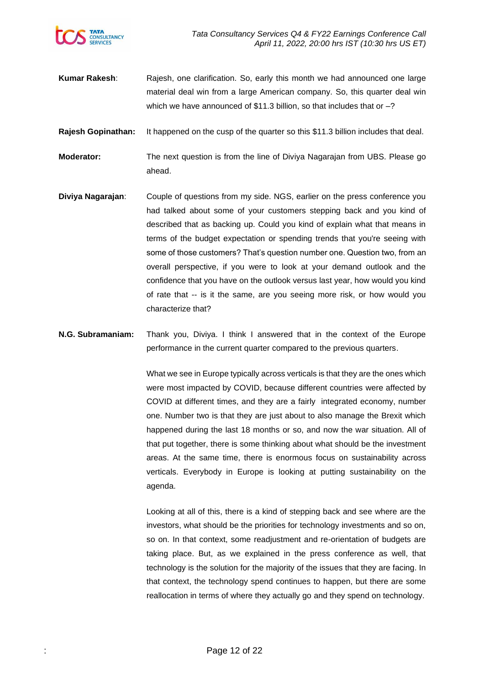

**Kumar Rakesh:** Rajesh, one clarification. So, early this month we had announced one large material deal win from a large American company. So, this quarter deal win which we have announced of \$11.3 billion, so that includes that or -?

**Rajesh Gopinathan:** It happened on the cusp of the quarter so this \$11.3 billion includes that deal.

**Moderator:** The next question is from the line of Diviya Nagarajan from UBS. Please go ahead.

- **Diviya Nagarajan**: Couple of questions from my side. NGS, earlier on the press conference you had talked about some of your customers stepping back and you kind of described that as backing up. Could you kind of explain what that means in terms of the budget expectation or spending trends that you're seeing with some of those customers? That's question number one. Question two, from an overall perspective, if you were to look at your demand outlook and the confidence that you have on the outlook versus last year, how would you kind of rate that -- is it the same, are you seeing more risk, or how would you characterize that?
- **N.G. Subramaniam:** Thank you, Diviya. I think I answered that in the context of the Europe performance in the current quarter compared to the previous quarters.

What we see in Europe typically across verticals is that they are the ones which were most impacted by COVID, because different countries were affected by COVID at different times, and they are a fairly integrated economy, number one. Number two is that they are just about to also manage the Brexit which happened during the last 18 months or so, and now the war situation. All of that put together, there is some thinking about what should be the investment areas. At the same time, there is enormous focus on sustainability across verticals. Everybody in Europe is looking at putting sustainability on the agenda.

Looking at all of this, there is a kind of stepping back and see where are the investors, what should be the priorities for technology investments and so on, so on. In that context, some readjustment and re-orientation of budgets are taking place. But, as we explained in the press conference as well, that technology is the solution for the majority of the issues that they are facing. In that context, the technology spend continues to happen, but there are some reallocation in terms of where they actually go and they spend on technology.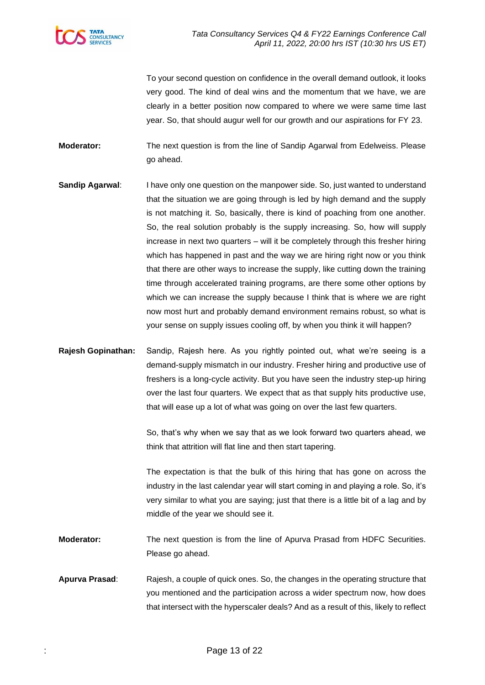

To your second question on confidence in the overall demand outlook, it looks very good. The kind of deal wins and the momentum that we have, we are clearly in a better position now compared to where we were same time last year. So, that should augur well for our growth and our aspirations for FY 23.

**Moderator:** The next question is from the line of Sandip Agarwal from Edelweiss. Please go ahead.

- **Sandip Agarwal:** I have only one question on the manpower side. So, just wanted to understand that the situation we are going through is led by high demand and the supply is not matching it. So, basically, there is kind of poaching from one another. So, the real solution probably is the supply increasing. So, how will supply increase in next two quarters – will it be completely through this fresher hiring which has happened in past and the way we are hiring right now or you think that there are other ways to increase the supply, like cutting down the training time through accelerated training programs, are there some other options by which we can increase the supply because I think that is where we are right now most hurt and probably demand environment remains robust, so what is your sense on supply issues cooling off, by when you think it will happen?
- **Rajesh Gopinathan:** Sandip, Rajesh here. As you rightly pointed out, what we're seeing is a demand-supply mismatch in our industry. Fresher hiring and productive use of freshers is a long-cycle activity. But you have seen the industry step-up hiring over the last four quarters. We expect that as that supply hits productive use, that will ease up a lot of what was going on over the last few quarters.

So, that's why when we say that as we look forward two quarters ahead, we think that attrition will flat line and then start tapering.

The expectation is that the bulk of this hiring that has gone on across the industry in the last calendar year will start coming in and playing a role. So, it's very similar to what you are saying; just that there is a little bit of a lag and by middle of the year we should see it.

- **Moderator:** The next question is from the line of Apurva Prasad from HDFC Securities. Please go ahead.
- **Apurva Prasad:** Rajesh, a couple of quick ones. So, the changes in the operating structure that you mentioned and the participation across a wider spectrum now, how does that intersect with the hyperscaler deals? And as a result of this, likely to reflect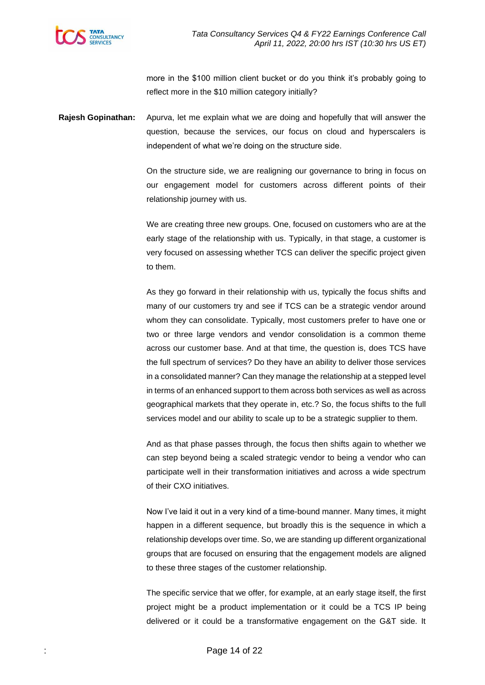

more in the \$100 million client bucket or do you think it's probably going to reflect more in the \$10 million category initially?

**Rajesh Gopinathan:** Apurva, let me explain what we are doing and hopefully that will answer the question, because the services, our focus on cloud and hyperscalers is independent of what we're doing on the structure side.

> On the structure side, we are realigning our governance to bring in focus on our engagement model for customers across different points of their relationship journey with us.

> We are creating three new groups. One, focused on customers who are at the early stage of the relationship with us. Typically, in that stage, a customer is very focused on assessing whether TCS can deliver the specific project given to them.

> As they go forward in their relationship with us, typically the focus shifts and many of our customers try and see if TCS can be a strategic vendor around whom they can consolidate. Typically, most customers prefer to have one or two or three large vendors and vendor consolidation is a common theme across our customer base. And at that time, the question is, does TCS have the full spectrum of services? Do they have an ability to deliver those services in a consolidated manner? Can they manage the relationship at a stepped level in terms of an enhanced support to them across both services as well as across geographical markets that they operate in, etc.? So, the focus shifts to the full services model and our ability to scale up to be a strategic supplier to them.

> And as that phase passes through, the focus then shifts again to whether we can step beyond being a scaled strategic vendor to being a vendor who can participate well in their transformation initiatives and across a wide spectrum of their CXO initiatives.

> Now I've laid it out in a very kind of a time-bound manner. Many times, it might happen in a different sequence, but broadly this is the sequence in which a relationship develops over time. So, we are standing up different organizational groups that are focused on ensuring that the engagement models are aligned to these three stages of the customer relationship.

> The specific service that we offer, for example, at an early stage itself, the first project might be a product implementation or it could be a TCS IP being delivered or it could be a transformative engagement on the G&T side. It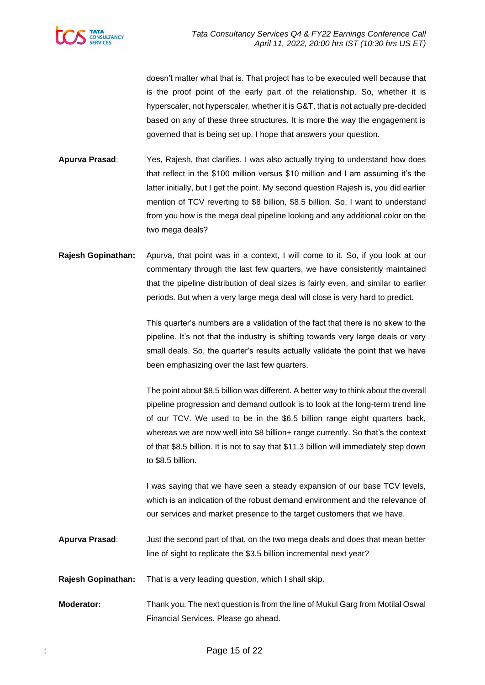

doesn't matter what that is. That project has to be executed well because that is the proof point of the early part of the relationship. So, whether it is hyperscaler, not hyperscaler, whether it is G&T, that is not actually pre-decided based on any of these three structures. It is more the way the engagement is governed that is being set up. I hope that answers your question.

- **Apurva Prasad**: Yes, Rajesh, that clarifies. I was also actually trying to understand how does that reflect in the \$100 million versus \$10 million and I am assuming it's the latter initially, but I get the point. My second question Rajesh is, you did earlier mention of TCV reverting to \$8 billion, \$8.5 billion. So, I want to understand from you how is the mega deal pipeline looking and any additional color on the two mega deals?
- **Rajesh Gopinathan:** Apurva, that point was in a context, I will come to it. So, if you look at our commentary through the last few quarters, we have consistently maintained that the pipeline distribution of deal sizes is fairly even, and similar to earlier periods. But when a very large mega deal will close is very hard to predict.

This quarter's numbers are a validation of the fact that there is no skew to the pipeline. It's not that the industry is shifting towards very large deals or very small deals. So, the quarter's results actually validate the point that we have been emphasizing over the last few quarters.

The point about \$8.5 billion was different. A better way to think about the overall pipeline progression and demand outlook is to look at the long-term trend line of our TCV. We used to be in the \$6.5 billion range eight quarters back, whereas we are now well into \$8 billion+ range currently. So that's the context of that \$8.5 billion. It is not to say that \$11.3 billion will immediately step down to \$8.5 billion.

I was saying that we have seen a steady expansion of our base TCV levels, which is an indication of the robust demand environment and the relevance of our services and market presence to the target customers that we have.

- **Apurva Prasad**: Just the second part of that, on the two mega deals and does that mean better line of sight to replicate the \$3.5 billion incremental next year?
- **Rajesh Gopinathan:** That is a very leading question, which I shall skip.
- **Moderator:** Thank you. The next question is from the line of Mukul Garg from Motilal Oswal Financial Services. Please go ahead.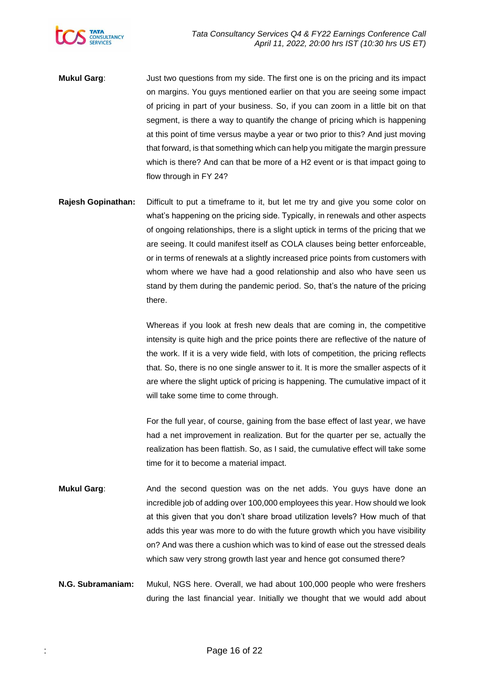

- **Mukul Garg**: Just two questions from my side. The first one is on the pricing and its impact on margins. You guys mentioned earlier on that you are seeing some impact of pricing in part of your business. So, if you can zoom in a little bit on that segment, is there a way to quantify the change of pricing which is happening at this point of time versus maybe a year or two prior to this? And just moving that forward, is that something which can help you mitigate the margin pressure which is there? And can that be more of a H2 event or is that impact going to flow through in FY 24?
- **Rajesh Gopinathan:** Difficult to put a timeframe to it, but let me try and give you some color on what's happening on the pricing side. Typically, in renewals and other aspects of ongoing relationships, there is a slight uptick in terms of the pricing that we are seeing. It could manifest itself as COLA clauses being better enforceable, or in terms of renewals at a slightly increased price points from customers with whom where we have had a good relationship and also who have seen us stand by them during the pandemic period. So, that's the nature of the pricing there.

Whereas if you look at fresh new deals that are coming in, the competitive intensity is quite high and the price points there are reflective of the nature of the work. If it is a very wide field, with lots of competition, the pricing reflects that. So, there is no one single answer to it. It is more the smaller aspects of it are where the slight uptick of pricing is happening. The cumulative impact of it will take some time to come through.

For the full year, of course, gaining from the base effect of last year, we have had a net improvement in realization. But for the quarter per se, actually the realization has been flattish. So, as I said, the cumulative effect will take some time for it to become a material impact.

- **Mukul Garg:** And the second question was on the net adds. You guys have done an incredible job of adding over 100,000 employees this year. How should we look at this given that you don't share broad utilization levels? How much of that adds this year was more to do with the future growth which you have visibility on? And was there a cushion which was to kind of ease out the stressed deals which saw very strong growth last year and hence got consumed there?
- **N.G. Subramaniam:** Mukul, NGS here. Overall, we had about 100,000 people who were freshers during the last financial year. Initially we thought that we would add about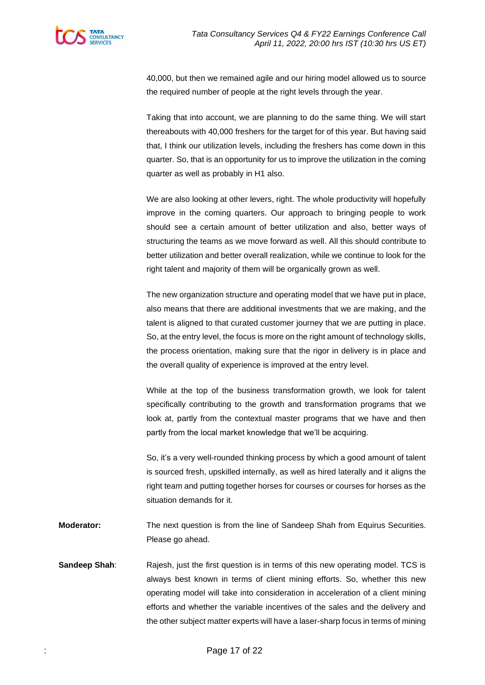

40,000, but then we remained agile and our hiring model allowed us to source the required number of people at the right levels through the year.

Taking that into account, we are planning to do the same thing. We will start thereabouts with 40,000 freshers for the target for of this year. But having said that, I think our utilization levels, including the freshers has come down in this quarter. So, that is an opportunity for us to improve the utilization in the coming quarter as well as probably in H1 also.

We are also looking at other levers, right. The whole productivity will hopefully improve in the coming quarters. Our approach to bringing people to work should see a certain amount of better utilization and also, better ways of structuring the teams as we move forward as well. All this should contribute to better utilization and better overall realization, while we continue to look for the right talent and majority of them will be organically grown as well.

The new organization structure and operating model that we have put in place, also means that there are additional investments that we are making, and the talent is aligned to that curated customer journey that we are putting in place. So, at the entry level, the focus is more on the right amount of technology skills, the process orientation, making sure that the rigor in delivery is in place and the overall quality of experience is improved at the entry level.

While at the top of the business transformation growth, we look for talent specifically contributing to the growth and transformation programs that we look at, partly from the contextual master programs that we have and then partly from the local market knowledge that we'll be acquiring.

So, it's a very well-rounded thinking process by which a good amount of talent is sourced fresh, upskilled internally, as well as hired laterally and it aligns the right team and putting together horses for courses or courses for horses as the situation demands for it.

- **Moderator:** The next question is from the line of Sandeep Shah from Equirus Securities. Please go ahead.
- **Sandeep Shah:** Rajesh, just the first question is in terms of this new operating model. TCS is always best known in terms of client mining efforts. So, whether this new operating model will take into consideration in acceleration of a client mining efforts and whether the variable incentives of the sales and the delivery and the other subject matter experts will have a laser-sharp focus in terms of mining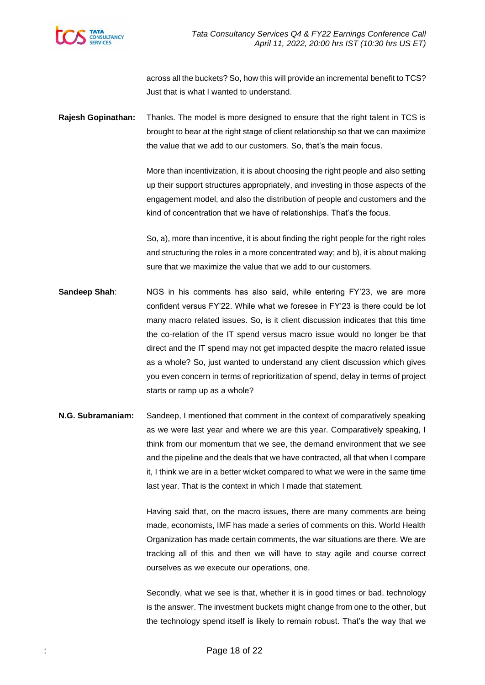

across all the buckets? So, how this will provide an incremental benefit to TCS? Just that is what I wanted to understand.

**Rajesh Gopinathan:** Thanks. The model is more designed to ensure that the right talent in TCS is brought to bear at the right stage of client relationship so that we can maximize the value that we add to our customers. So, that's the main focus.

> More than incentivization, it is about choosing the right people and also setting up their support structures appropriately, and investing in those aspects of the engagement model, and also the distribution of people and customers and the kind of concentration that we have of relationships. That's the focus.

> So, a), more than incentive, it is about finding the right people for the right roles and structuring the roles in a more concentrated way; and b), it is about making sure that we maximize the value that we add to our customers.

- **Sandeep Shah:** NGS in his comments has also said, while entering FY'23, we are more confident versus FY'22. While what we foresee in FY'23 is there could be lot many macro related issues. So, is it client discussion indicates that this time the co-relation of the IT spend versus macro issue would no longer be that direct and the IT spend may not get impacted despite the macro related issue as a whole? So, just wanted to understand any client discussion which gives you even concern in terms of reprioritization of spend, delay in terms of project starts or ramp up as a whole?
- **N.G. Subramaniam:** Sandeep, I mentioned that comment in the context of comparatively speaking as we were last year and where we are this year. Comparatively speaking, I think from our momentum that we see, the demand environment that we see and the pipeline and the deals that we have contracted, all that when I compare it, I think we are in a better wicket compared to what we were in the same time last year. That is the context in which I made that statement.

Having said that, on the macro issues, there are many comments are being made, economists, IMF has made a series of comments on this. World Health Organization has made certain comments, the war situations are there. We are tracking all of this and then we will have to stay agile and course correct ourselves as we execute our operations, one.

Secondly, what we see is that, whether it is in good times or bad, technology is the answer. The investment buckets might change from one to the other, but the technology spend itself is likely to remain robust. That's the way that we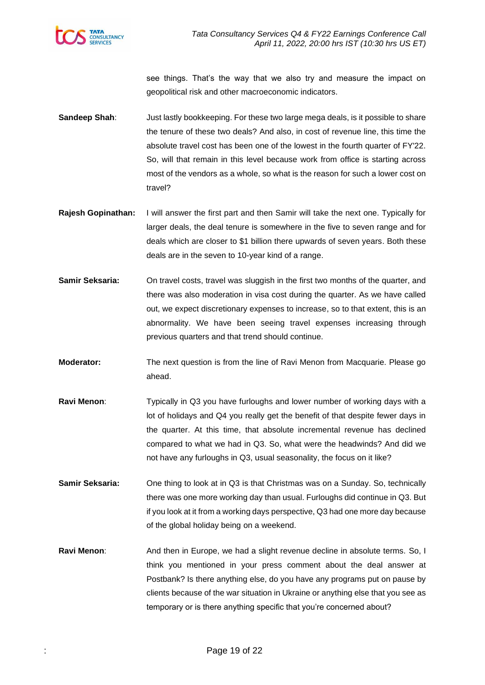

see things. That's the way that we also try and measure the impact on geopolitical risk and other macroeconomic indicators.

- **Sandeep Shah:** Just lastly bookkeeping. For these two large mega deals, is it possible to share the tenure of these two deals? And also, in cost of revenue line, this time the absolute travel cost has been one of the lowest in the fourth quarter of FY'22. So, will that remain in this level because work from office is starting across most of the vendors as a whole, so what is the reason for such a lower cost on travel?
- **Rajesh Gopinathan:** I will answer the first part and then Samir will take the next one. Typically for larger deals, the deal tenure is somewhere in the five to seven range and for deals which are closer to \$1 billion there upwards of seven years. Both these deals are in the seven to 10-year kind of a range.
- **Samir Seksaria:** On travel costs, travel was sluggish in the first two months of the quarter, and there was also moderation in visa cost during the quarter. As we have called out, we expect discretionary expenses to increase, so to that extent, this is an abnormality. We have been seeing travel expenses increasing through previous quarters and that trend should continue.
- **Moderator:** The next question is from the line of Ravi Menon from Macquarie. Please go ahead.
- **Ravi Menon**: Typically in Q3 you have furloughs and lower number of working days with a lot of holidays and Q4 you really get the benefit of that despite fewer days in the quarter. At this time, that absolute incremental revenue has declined compared to what we had in Q3. So, what were the headwinds? And did we not have any furloughs in Q3, usual seasonality, the focus on it like?
- **Samir Seksaria:** One thing to look at in Q3 is that Christmas was on a Sunday. So, technically there was one more working day than usual. Furloughs did continue in Q3. But if you look at it from a working days perspective, Q3 had one more day because of the global holiday being on a weekend.
- **Ravi Menon:** And then in Europe, we had a slight revenue decline in absolute terms. So, I think you mentioned in your press comment about the deal answer at Postbank? Is there anything else, do you have any programs put on pause by clients because of the war situation in Ukraine or anything else that you see as temporary or is there anything specific that you're concerned about?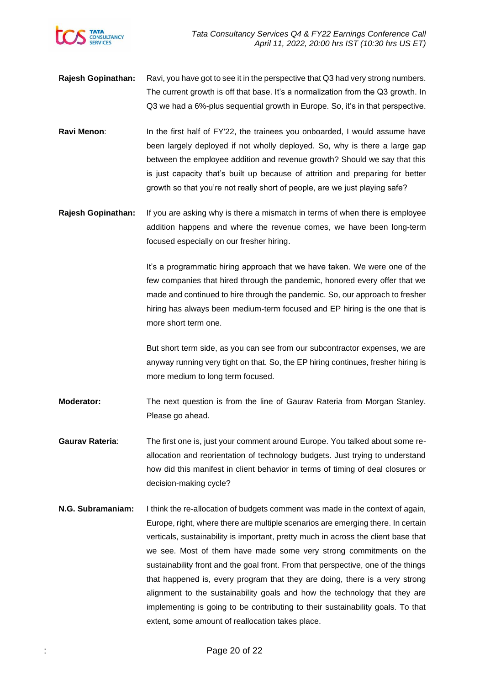

- **Rajesh Gopinathan:** Ravi, you have got to see it in the perspective that Q3 had very strong numbers. The current growth is off that base. It's a normalization from the Q3 growth. In Q3 we had a 6%-plus sequential growth in Europe. So, it's in that perspective.
- **Ravi Menon:** In the first half of FY'22, the trainees you onboarded, I would assume have been largely deployed if not wholly deployed. So, why is there a large gap between the employee addition and revenue growth? Should we say that this is just capacity that's built up because of attrition and preparing for better growth so that you're not really short of people, are we just playing safe?
- **Rajesh Gopinathan:** If you are asking why is there a mismatch in terms of when there is employee addition happens and where the revenue comes, we have been long-term focused especially on our fresher hiring.

It's a programmatic hiring approach that we have taken. We were one of the few companies that hired through the pandemic, honored every offer that we made and continued to hire through the pandemic. So, our approach to fresher hiring has always been medium-term focused and EP hiring is the one that is more short term one.

But short term side, as you can see from our subcontractor expenses, we are anyway running very tight on that. So, the EP hiring continues, fresher hiring is more medium to long term focused.

- **Moderator:** The next question is from the line of Gaurav Rateria from Morgan Stanley. Please go ahead.
- **Gaurav Rateria**: The first one is, just your comment around Europe. You talked about some reallocation and reorientation of technology budgets. Just trying to understand how did this manifest in client behavior in terms of timing of deal closures or decision-making cycle?
- **N.G. Subramaniam:** I think the re-allocation of budgets comment was made in the context of again, Europe, right, where there are multiple scenarios are emerging there. In certain verticals, sustainability is important, pretty much in across the client base that we see. Most of them have made some very strong commitments on the sustainability front and the goal front. From that perspective, one of the things that happened is, every program that they are doing, there is a very strong alignment to the sustainability goals and how the technology that they are implementing is going to be contributing to their sustainability goals. To that extent, some amount of reallocation takes place.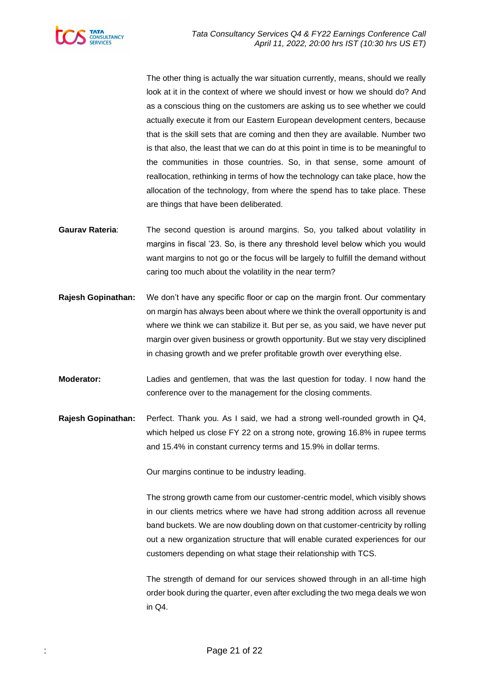

The other thing is actually the war situation currently, means, should we really look at it in the context of where we should invest or how we should do? And as a conscious thing on the customers are asking us to see whether we could actually execute it from our Eastern European development centers, because that is the skill sets that are coming and then they are available. Number two is that also, the least that we can do at this point in time is to be meaningful to the communities in those countries. So, in that sense, some amount of reallocation, rethinking in terms of how the technology can take place, how the allocation of the technology, from where the spend has to take place. These are things that have been deliberated.

- **Gaurav Rateria**: The second question is around margins. So, you talked about volatility in margins in fiscal '23. So, is there any threshold level below which you would want margins to not go or the focus will be largely to fulfill the demand without caring too much about the volatility in the near term?
- **Rajesh Gopinathan:** We don't have any specific floor or cap on the margin front. Our commentary on margin has always been about where we think the overall opportunity is and where we think we can stabilize it. But per se, as you said, we have never put margin over given business or growth opportunity. But we stay very disciplined in chasing growth and we prefer profitable growth over everything else.
- **Moderator:** Ladies and gentlemen, that was the last question for today. I now hand the conference over to the management for the closing comments.
- **Rajesh Gopinathan:** Perfect. Thank you. As I said, we had a strong well-rounded growth in Q4, which helped us close FY 22 on a strong note, growing 16.8% in rupee terms and 15.4% in constant currency terms and 15.9% in dollar terms.

Our margins continue to be industry leading.

The strong growth came from our customer-centric model, which visibly shows in our clients metrics where we have had strong addition across all revenue band buckets. We are now doubling down on that customer-centricity by rolling out a new organization structure that will enable curated experiences for our customers depending on what stage their relationship with TCS.

The strength of demand for our services showed through in an all-time high order book during the quarter, even after excluding the two mega deals we won in Q4.